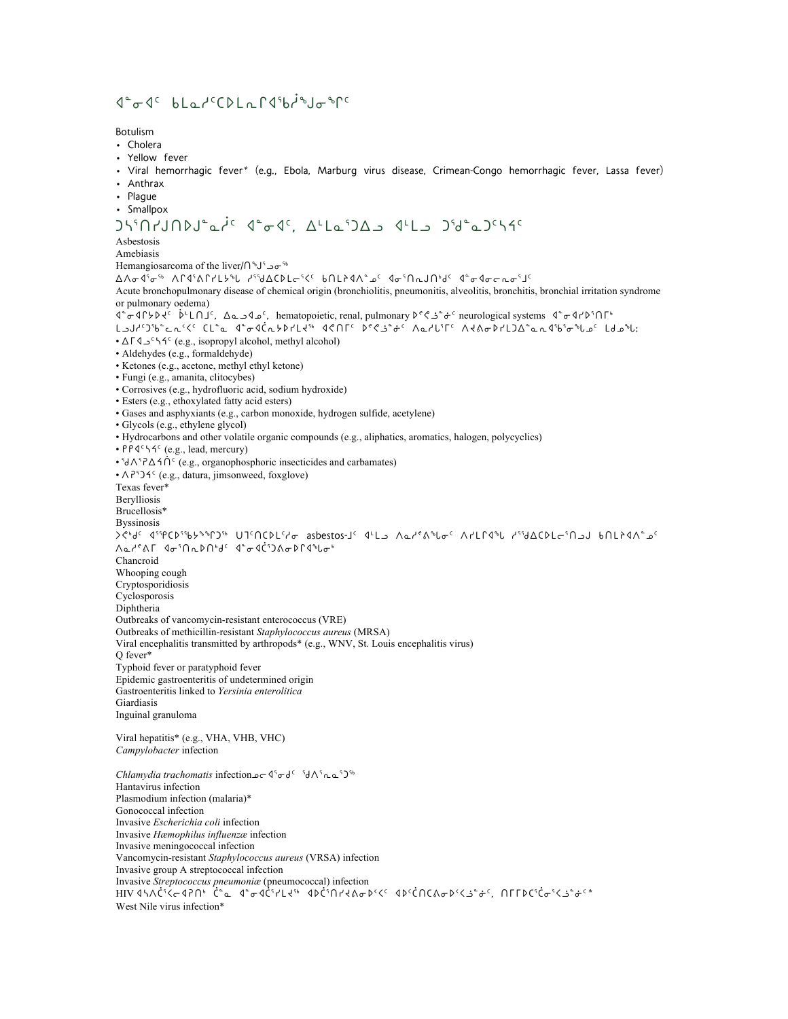## I<sup>™</sup> σ<sup>1</sup>€ Ь La I<sup>c</sup>CD La ΓIsbi<sup>s</sup>Jσ<sup>\$</sup>Γ

Botulism

- Cholera
- Yellow fever
- Viral hemorrhagic fever\* (e.g., Ebola, Marburg virus disease, Crimean-Congo hemorrhagic fever, Lassa fever) • Anthrax
- 
- Plague • Smallpox

```
ᑐᓴᕐᑎᓯᒍᑎᐅᒍᓐᓇᓲᑦ ᐊᓐᓂᐊᑦ, ᐃᒻᒪᓇᕐᑐᐃᓗ ᐊᒻᒪᓗ ᑐᖁᓐᓇᑐᑦᓴᔦᑦ
```
Asbestosis

Amebiasis

Hemangiosarcoma of the liver/∩<sup>ъ</sup>J<sup>5</sup> → د<sup>56</sup>

ᐃᐱᓂᐊᕐᓂᖅ ᐱᒋᐊᕐᕕᒋᓯᒪᔭᖓ ᓱᕐᖁᐃᑕᐅᒪᓕᕐᐸᑦ ᑲᑎᒪᔨᐊᐱᓐᓄᑦ ᐊᓂᕐᑎᕆᒍᑎᒃᑯᑦ ᐊᓐᓂᐊᓂᓕᕆᓂᕐᒧᑦ

Acute bronchopulmonary disease of chemical origin (bronchiolitis, pneumonitis, alveolitis, bronchitis, bronchial irritation syndrome or pulmonary oedema)

√°G √ان ان ان ان ان ان عشه آن کا a^{\default of the state of the matopoietic, renal, pulmonary أن كاد عام آن م ᒪᓗᒍᓱᑦᑐᖃᓪᓚᕆᑉᐸᑦ ᑕᒪᓐᓇ ᐊᓐᓂᐊᑖᕆᔭᐅᓯᒪᔪᖅ ᐊᕙᑎᒥᑦ ᐅᕝᕙᓘᓐᓃᑦ ᐱᓇᓱᒐᕐᒥᑦ ᐱᔪᕕᓂᐅᓯᒪᑐᐃᓐᓇᕆᐊᖃᕐᓂᖓᓄᑦ ᒪᑯᓄᖓ: •  $\Delta \Gamma \Delta \sim$  54° (e.g., isopropyl alcohol, methyl alcohol)

- Aldehydes (e.g., formaldehyde)
- Ketones (e.g., acetone, methyl ethyl ketone)
- Fungi (e.g., amanita, clitocybes)
- Corrosives (e.g., hydrofluoric acid, sodium hydroxide)
- Esters (e.g., ethoxylated fatty acid esters)
- Gases and asphyxiants (e.g., carbon monoxide, hydrogen sulfide, acetylene)
- Glycols (e.g., ethylene glycol)
- Hydrocarbons and other volatile organic compounds (e.g., aliphatics, aromatics, halogen, polycyclics)
- $\cdot$  PP $\triangleleft$ <sup>c</sup> $\triangleleft$ <sup>c</sup> (e.g., lead, mercury)
- $\delta$   $\Lambda$ <sup>5</sup>  $\Lambda$ <sup> $\epsilon$ </sup> (e.g., organophosphoric insecticides and carbamates)
- $\land$  P<sup>5</sup> J<sup>4</sup> (e.g., datura, jimsonweed, foxglove)
- Texas fever\*
- 

Berylliosis Brucellosis\* Byssinosis ᐳᕙᒃᑯᑦ ᐊᕐᕿᑕᐅᕐᖃᔭᖕᖏᑐᖅ ᑌᒣᑦᑎᑕᐅᒪᑦᓱᓂ asbestos-ᒧᑦ ᐊᒻᒪᓗ ᐱᓇᓱᕝᕕᖓᓂᑦ ᐱᓯᒪᒋᐊᖓ ᓱᕐᖁᐃᑕᐅᒪᓕᕐᑎᓗᒍ ᑲᑎᒪᔨᐊᐱᓐᓄᑦ ᐱᓇᓱᕝᕕᒥ ᐊᓂᕐᑎᕆᐅᑎᒃᑯᑦ ᐊᓐᓂᐊᑖᕐᑐᕕᓂᐅᒋᐊᖓᓂᒃ Chancroid Whooping cough Cryptosporidiosis Cyclosporosis Diphtheria Outbreaks of vancomycin-resistant enterococcus (VRE) Outbreaks of methicillin-resistant *Staphylococcus aureus* (MRSA) Viral encephalitis transmitted by arthropods\* (e.g., WNV, St. Louis encephalitis virus) Q fever\* Typhoid fever or paratyphoid fever Epidemic gastroenteritis of undetermined origin Gastroenteritis linked to *Yersinia enterolitica* Giardiasis Inguinal granuloma

Viral hepatitis\* (e.g., VHA, VHB, VHC) *Campylobacter* infection

Chlamydia trachomatis infection <sub>2</sub> d'od<sup>€ s</sup>d A<sup>s</sup> ne<sup>5</sup>)<sup>%</sup> Hantavirus infection Plasmodium infection (malaria)\* Gonococcal infection Invasive *Escherichia coli* infection Invasive *Hæmophilus influenzæ* infection Invasive meningococcal infection Vancomycin-resistant *Staphylococcus aureus* (VRSA) infection Invasive group A streptococcal infection Invasive *Streptococcus pneumoniæ* (pneumococcal) infection  $\mathsf{HIV}\,4\,\mathsf{A}\,\mathsf{A}\,\mathsf{C}\,\mathsf{C}\,\mathsf{C}\,\mathsf{A}\,\mathsf{D}\,\mathsf{D}\,\mathsf{C}\,\mathsf{C}\,\mathsf{A}\,\mathsf{C}\,\mathsf{C}\,\mathsf{C}\,\mathsf{C}\,\mathsf{C}\,\mathsf{C}\,\mathsf{C}\,\mathsf{C}\,\mathsf{C}\,\mathsf{C}\,\mathsf{C}\,\mathsf{C}\,\mathsf{C}\,\mathsf{C}\,\mathsf{C}\,\mathsf{C}\,\mathsf{C}\,\mathsf{C}\,\mathsf{C}\,\mathsf{C}\,\mathsf{C}\,\mathsf{C}\,\mathsf{C}\,\mathsf{C}\$ West Nile virus infection\*